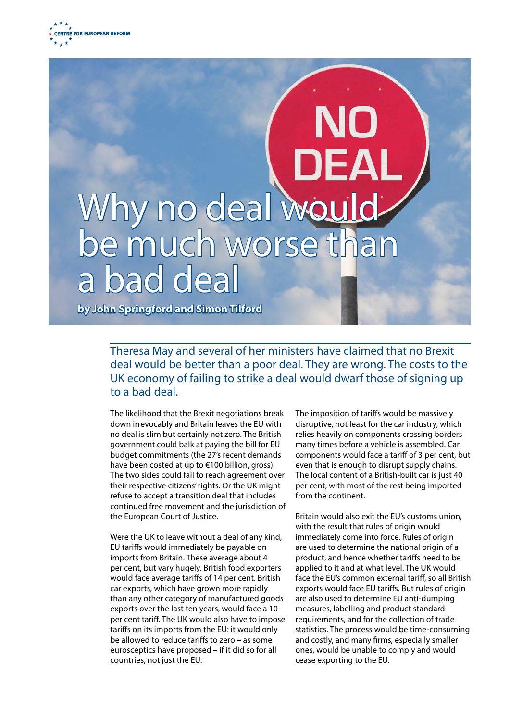## Why no deal wouldbe much worse than bad deal **by John Springford and Simon Tilford**

Theresa May and several of her ministers have claimed that no Brexit deal would be better than a poor deal. They are wrong. The costs to the UK economy of failing to strike a deal would dwarf those of signing up to a bad deal.

The likelihood that the Brexit negotiations break down irrevocably and Britain leaves the EU with no deal is slim but certainly not zero. The British government could balk at paying the bill for EU budget commitments (the 27's recent demands have been costed at up to €100 billion, gross). The two sides could fail to reach agreement over their respective citizens' rights. Or the UK might refuse to accept a transition deal that includes continued free movement and the jurisdiction of the European Court of Justice.

Were the UK to leave without a deal of any kind, EU tariffs would immediately be payable on imports from Britain. These average about 4 per cent, but vary hugely. British food exporters would face average tariffs of 14 per cent. British car exports, which have grown more rapidly than any other category of manufactured goods exports over the last ten years, would face a 10 per cent tariff. The UK would also have to impose tariffs on its imports from the EU: it would only be allowed to reduce tariffs to zero – as some eurosceptics have proposed – if it did so for all countries, not just the EU.

The imposition of tariffs would be massively disruptive, not least for the car industry, which relies heavily on components crossing borders many times before a vehicle is assembled. Car components would face a tariff of 3 per cent, but even that is enough to disrupt supply chains. The local content of a British-built car is just 40 per cent, with most of the rest being imported from the continent.

Britain would also exit the EU's customs union, with the result that rules of origin would immediately come into force. Rules of origin are used to determine the national origin of a product, and hence whether tariffs need to be applied to it and at what level. The UK would face the EU's common external tariff, so all British exports would face EU tariffs. But rules of origin are also used to determine EU anti-dumping measures, labelling and product standard requirements, and for the collection of trade statistics. The process would be time-consuming and costly, and many firms, especially smaller ones, would be unable to comply and would cease exporting to the EU.